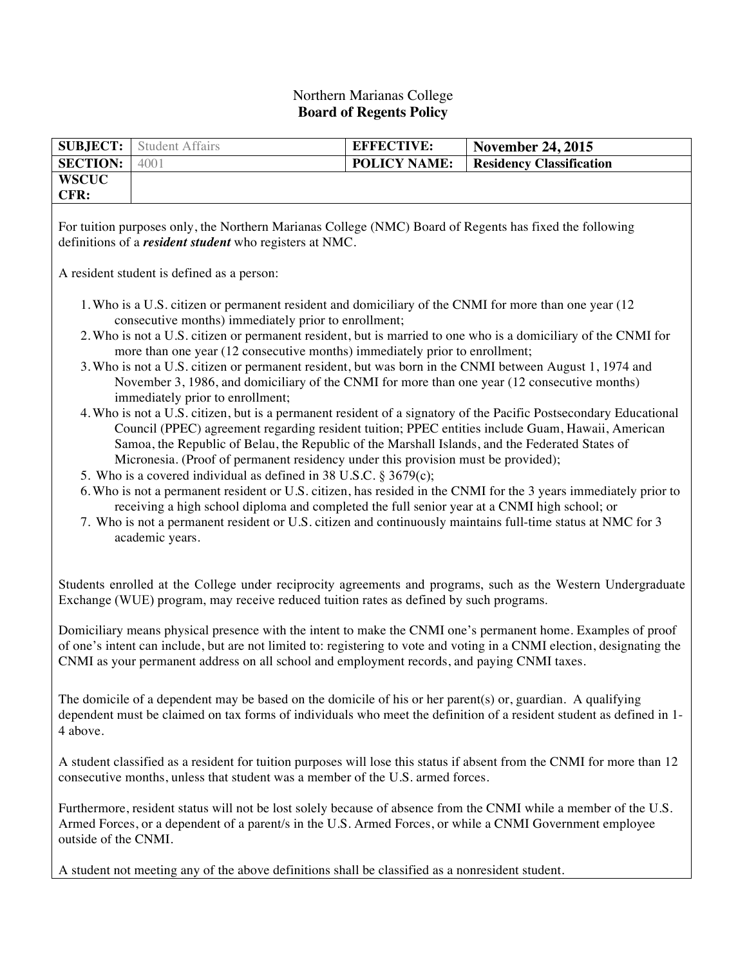## Northern Marianas College **Board of Regents Policy**

| <b>SUBJECT:</b>                                                                                                                                                                                                                                                                                                                                                                                                                                                                                                                                                                                                                                                                                                                                                                                                                                                                                                                                                                                                                                                                                                                                                                                                                                                                                                                                                                                                                                            | <b>Student Affairs</b> | <b>EFFECTIVE:</b>   | <b>November 24, 2015</b>        |
|------------------------------------------------------------------------------------------------------------------------------------------------------------------------------------------------------------------------------------------------------------------------------------------------------------------------------------------------------------------------------------------------------------------------------------------------------------------------------------------------------------------------------------------------------------------------------------------------------------------------------------------------------------------------------------------------------------------------------------------------------------------------------------------------------------------------------------------------------------------------------------------------------------------------------------------------------------------------------------------------------------------------------------------------------------------------------------------------------------------------------------------------------------------------------------------------------------------------------------------------------------------------------------------------------------------------------------------------------------------------------------------------------------------------------------------------------------|------------------------|---------------------|---------------------------------|
| <b>SECTION:</b>                                                                                                                                                                                                                                                                                                                                                                                                                                                                                                                                                                                                                                                                                                                                                                                                                                                                                                                                                                                                                                                                                                                                                                                                                                                                                                                                                                                                                                            | 4001                   | <b>POLICY NAME:</b> | <b>Residency Classification</b> |
| <b>WSCUC</b><br>CFR:                                                                                                                                                                                                                                                                                                                                                                                                                                                                                                                                                                                                                                                                                                                                                                                                                                                                                                                                                                                                                                                                                                                                                                                                                                                                                                                                                                                                                                       |                        |                     |                                 |
| For tuition purposes only, the Northern Marianas College (NMC) Board of Regents has fixed the following<br>definitions of a <i>resident student</i> who registers at NMC.                                                                                                                                                                                                                                                                                                                                                                                                                                                                                                                                                                                                                                                                                                                                                                                                                                                                                                                                                                                                                                                                                                                                                                                                                                                                                  |                        |                     |                                 |
| A resident student is defined as a person:                                                                                                                                                                                                                                                                                                                                                                                                                                                                                                                                                                                                                                                                                                                                                                                                                                                                                                                                                                                                                                                                                                                                                                                                                                                                                                                                                                                                                 |                        |                     |                                 |
| 1. Who is a U.S. citizen or permanent resident and domiciliary of the CNMI for more than one year (12<br>consecutive months) immediately prior to enrollment;<br>2. Who is not a U.S. citizen or permanent resident, but is married to one who is a domiciliary of the CNMI for<br>more than one year (12 consecutive months) immediately prior to enrollment;<br>3. Who is not a U.S. citizen or permanent resident, but was born in the CNMI between August 1, 1974 and<br>November 3, 1986, and domiciliary of the CNMI for more than one year (12 consecutive months)<br>immediately prior to enrollment;<br>4. Who is not a U.S. citizen, but is a permanent resident of a signatory of the Pacific Postsecondary Educational<br>Council (PPEC) agreement regarding resident tuition; PPEC entities include Guam, Hawaii, American<br>Samoa, the Republic of Belau, the Republic of the Marshall Islands, and the Federated States of<br>Micronesia. (Proof of permanent residency under this provision must be provided);<br>5. Who is a covered individual as defined in 38 U.S.C. § 3679(c);<br>6. Who is not a permanent resident or U.S. citizen, has resided in the CNMI for the 3 years immediately prior to<br>receiving a high school diploma and completed the full senior year at a CNMI high school; or<br>7. Who is not a permanent resident or U.S. citizen and continuously maintains full-time status at NMC for 3<br>academic years. |                        |                     |                                 |
| Students enrolled at the College under reciprocity agreements and programs, such as the Western Undergraduate<br>Exchange (WUE) program, may receive reduced tuition rates as defined by such programs.                                                                                                                                                                                                                                                                                                                                                                                                                                                                                                                                                                                                                                                                                                                                                                                                                                                                                                                                                                                                                                                                                                                                                                                                                                                    |                        |                     |                                 |
| Domiciliary means physical presence with the intent to make the CNMI one's permanent home. Examples of proof<br>of one's intent can include, but are not limited to: registering to vote and voting in a CNMI election, designating the<br>CNMI as your permanent address on all school and employment records, and paying CNMI taxes.                                                                                                                                                                                                                                                                                                                                                                                                                                                                                                                                                                                                                                                                                                                                                                                                                                                                                                                                                                                                                                                                                                                     |                        |                     |                                 |
| The domicile of a dependent may be based on the domicile of his or her parent(s) or, guardian. A qualifying<br>dependent must be claimed on tax forms of individuals who meet the definition of a resident student as defined in 1-<br>4 above.                                                                                                                                                                                                                                                                                                                                                                                                                                                                                                                                                                                                                                                                                                                                                                                                                                                                                                                                                                                                                                                                                                                                                                                                            |                        |                     |                                 |
| A student classified as a resident for tuition purposes will lose this status if absent from the CNMI for more than 12<br>consecutive months, unless that student was a member of the U.S. armed forces.                                                                                                                                                                                                                                                                                                                                                                                                                                                                                                                                                                                                                                                                                                                                                                                                                                                                                                                                                                                                                                                                                                                                                                                                                                                   |                        |                     |                                 |
| Furthermore, resident status will not be lost solely because of absence from the CNMI while a member of the U.S.<br>Armed Forces, or a dependent of a parent/s in the U.S. Armed Forces, or while a CNMI Government employee<br>outside of the CNMI.                                                                                                                                                                                                                                                                                                                                                                                                                                                                                                                                                                                                                                                                                                                                                                                                                                                                                                                                                                                                                                                                                                                                                                                                       |                        |                     |                                 |
| A student not meeting any of the above definitions shall be classified as a nonresident student.                                                                                                                                                                                                                                                                                                                                                                                                                                                                                                                                                                                                                                                                                                                                                                                                                                                                                                                                                                                                                                                                                                                                                                                                                                                                                                                                                           |                        |                     |                                 |